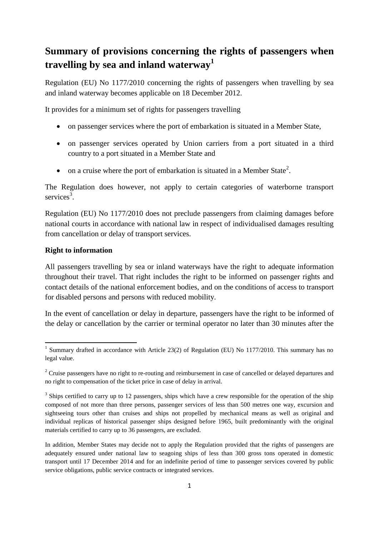# **Summary of provisions concerning the rights of passengers when travelling by sea and inland waterway<sup>1</sup>**

Regulation (EU) No 1177/2010 concerning the rights of passengers when travelling by sea and inland waterway becomes applicable on 18 December 2012.

It provides for a minimum set of rights for passengers travelling

- on passenger services where the port of embarkation is situated in a Member State,
- on passenger services operated by Union carriers from a port situated in a third country to a port situated in a Member State and
- $\bullet$  on a cruise where the port of embarkation is situated in a Member State<sup>2</sup>.

The Regulation does however, not apply to certain categories of waterborne transport services<sup>3</sup>.

Regulation (EU) No 1177/2010 does not preclude passengers from claiming damages before national courts in accordance with national law in respect of individualised damages resulting from cancellation or delay of transport services.

#### **Right to information**

**.** 

All passengers travelling by sea or inland waterways have the right to adequate information throughout their travel. That right includes the right to be informed on passenger rights and contact details of the national enforcement bodies, and on the conditions of access to transport for disabled persons and persons with reduced mobility.

In the event of cancellation or delay in departure, passengers have the right to be informed of the delay or cancellation by the carrier or terminal operator no later than 30 minutes after the

<sup>&</sup>lt;sup>1</sup> Summary drafted in accordance with Article 23(2) of Regulation (EU) No 1177/2010. This summary has no legal value.

 $2$  Cruise passengers have no right to re-routing and reimbursement in case of cancelled or delayed departures and no right to compensation of the ticket price in case of delay in arrival.

 $3$  Ships certified to carry up to 12 passengers, ships which have a crew responsible for the operation of the ship composed of not more than three persons, passenger services of less than 500 metres one way, excursion and sightseeing tours other than cruises and ships not propelled by mechanical means as well as original and individual replicas of historical passenger ships designed before 1965, built predominantly with the original materials certified to carry up to 36 passengers, are excluded.

In addition, Member States may decide not to apply the Regulation provided that the rights of passengers are adequately ensured under national law to seagoing ships of less than 300 gross tons operated in domestic transport until 17 December 2014 and for an indefinite period of time to passenger services covered by public service obligations, public service contracts or integrated services.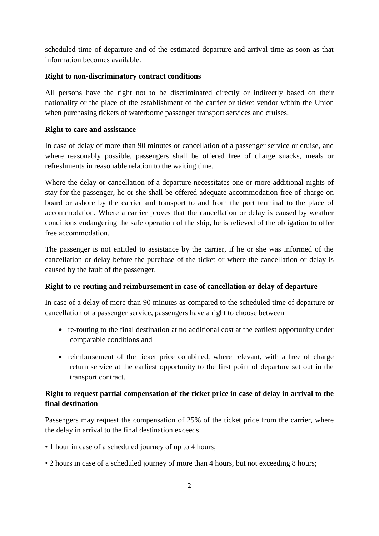scheduled time of departure and of the estimated departure and arrival time as soon as that information becomes available.

## **Right to non-discriminatory contract conditions**

All persons have the right not to be discriminated directly or indirectly based on their nationality or the place of the establishment of the carrier or ticket vendor within the Union when purchasing tickets of waterborne passenger transport services and cruises.

### **Right to care and assistance**

In case of delay of more than 90 minutes or cancellation of a passenger service or cruise, and where reasonably possible, passengers shall be offered free of charge snacks, meals or refreshments in reasonable relation to the waiting time.

Where the delay or cancellation of a departure necessitates one or more additional nights of stay for the passenger, he or she shall be offered adequate accommodation free of charge on board or ashore by the carrier and transport to and from the port terminal to the place of accommodation. Where a carrier proves that the cancellation or delay is caused by weather conditions endangering the safe operation of the ship, he is relieved of the obligation to offer free accommodation.

The passenger is not entitled to assistance by the carrier, if he or she was informed of the cancellation or delay before the purchase of the ticket or where the cancellation or delay is caused by the fault of the passenger.

## **Right to re-routing and reimbursement in case of cancellation or delay of departure**

In case of a delay of more than 90 minutes as compared to the scheduled time of departure or cancellation of a passenger service, passengers have a right to choose between

- re-routing to the final destination at no additional cost at the earliest opportunity under comparable conditions and
- reimbursement of the ticket price combined, where relevant, with a free of charge return service at the earliest opportunity to the first point of departure set out in the transport contract.

## **Right to request partial compensation of the ticket price in case of delay in arrival to the final destination**

Passengers may request the compensation of 25% of the ticket price from the carrier, where the delay in arrival to the final destination exceeds

- 1 hour in case of a scheduled journey of up to 4 hours;
- 2 hours in case of a scheduled journey of more than 4 hours, but not exceeding 8 hours;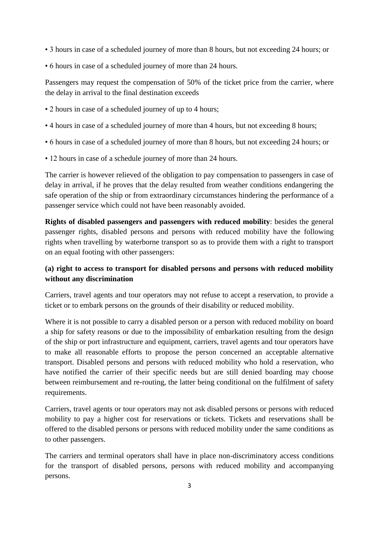- 3 hours in case of a scheduled journey of more than 8 hours, but not exceeding 24 hours; or
- 6 hours in case of a scheduled journey of more than 24 hours.

Passengers may request the compensation of 50% of the ticket price from the carrier, where the delay in arrival to the final destination exceeds

- 2 hours in case of a scheduled journey of up to 4 hours;
- 4 hours in case of a scheduled journey of more than 4 hours, but not exceeding 8 hours;
- 6 hours in case of a scheduled journey of more than 8 hours, but not exceeding 24 hours; or
- 12 hours in case of a schedule journey of more than 24 hours.

The carrier is however relieved of the obligation to pay compensation to passengers in case of delay in arrival, if he proves that the delay resulted from weather conditions endangering the safe operation of the ship or from extraordinary circumstances hindering the performance of a passenger service which could not have been reasonably avoided.

**Rights of disabled passengers and passengers with reduced mobility**: besides the general passenger rights, disabled persons and persons with reduced mobility have the following rights when travelling by waterborne transport so as to provide them with a right to transport on an equal footing with other passengers:

## **(a) right to access to transport for disabled persons and persons with reduced mobility without any discrimination**

Carriers, travel agents and tour operators may not refuse to accept a reservation, to provide a ticket or to embark persons on the grounds of their disability or reduced mobility.

Where it is not possible to carry a disabled person or a person with reduced mobility on board a ship for safety reasons or due to the impossibility of embarkation resulting from the design of the ship or port infrastructure and equipment, carriers, travel agents and tour operators have to make all reasonable efforts to propose the person concerned an acceptable alternative transport. Disabled persons and persons with reduced mobility who hold a reservation, who have notified the carrier of their specific needs but are still denied boarding may choose between reimbursement and re-routing, the latter being conditional on the fulfilment of safety requirements.

Carriers, travel agents or tour operators may not ask disabled persons or persons with reduced mobility to pay a higher cost for reservations or tickets. Tickets and reservations shall be offered to the disabled persons or persons with reduced mobility under the same conditions as to other passengers.

The carriers and terminal operators shall have in place non-discriminatory access conditions for the transport of disabled persons, persons with reduced mobility and accompanying persons.